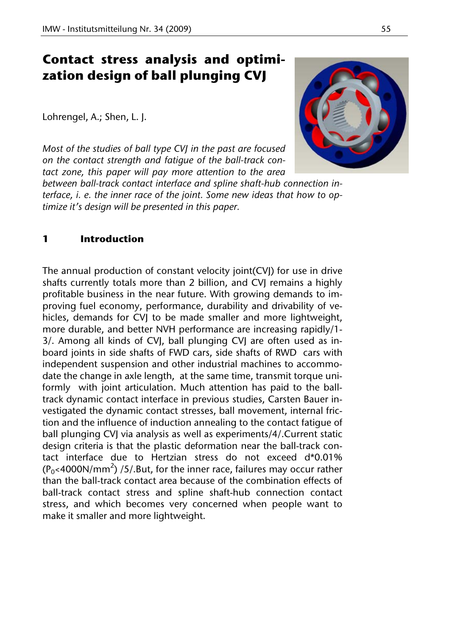# **Contact stress analysis and optimization design of ball plunging CVJ**

Lohrengel, A.; Shen, L. J.

*Most of the studies of ball type CVJ in the past are focused on the contact strength and fatigue of the ball-track contact zone, this paper will pay more attention to the area* 

*between ball-track contact interface and spline shaft-hub connection interface, i. e. the inner race of the joint. Some new ideas that how to optimize it's design will be presented in this paper.* 

## **1 Introduction**

The annual production of constant velocity joint(CVJ) for use in drive shafts currently totals more than 2 billion, and CVJ remains a highly profitable business in the near future. With growing demands to improving fuel economy, performance, durability and drivability of vehicles, demands for CVJ to be made smaller and more lightweight, more durable, and better NVH performance are increasing rapidly/1- 3/. Among all kinds of CVJ, ball plunging CVJ are often used as inboard joints in side shafts of FWD cars, side shafts of RWD cars with independent suspension and other industrial machines to accommodate the change in axle length, at the same time, transmit torque uniformly with joint articulation. Much attention has paid to the balltrack dynamic contact interface in previous studies, Carsten Bauer investigated the dynamic contact stresses, ball movement, internal friction and the influence of induction annealing to the contact fatigue of ball plunging CVJ via analysis as well as experiments/4/.Current static design criteria is that the plastic deformation near the ball-track contact interface due to Hertzian stress do not exceed d\*0.01%  $(P_0$ <4000N/mm<sup>2</sup>) /5/.But, for the inner race, failures may occur rather than the ball-track contact area because of the combination effects of ball-track contact stress and spline shaft-hub connection contact stress, and which becomes very concerned when people want to make it smaller and more lightweight.

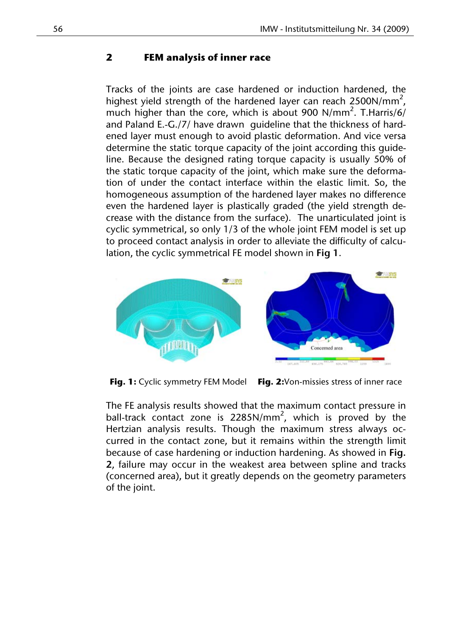#### **2 FEM analysis of inner race**

Tracks of the joints are case hardened or induction hardened, the highest yield strength of the hardened layer can reach 2500N/mm<sup>2</sup>, much higher than the core, which is about 900 N/mm<sup>2</sup>. T.Harris/6/ and Paland E.-G./7/ have drawn guideline that the thickness of hardened layer must enough to avoid plastic deformation. And vice versa determine the static torque capacity of the joint according this guideline. Because the designed rating torque capacity is usually 50% of the static torque capacity of the joint, which make sure the deformation of under the contact interface within the elastic limit. So, the homogeneous assumption of the hardened layer makes no difference even the hardened layer is plastically graded (the yield strength decrease with the distance from the surface). The unarticulated joint is cyclic symmetrical, so only 1/3 of the whole joint FEM model is set up to proceed contact analysis in order to alleviate the difficulty of calculation, the cyclic symmetrical FE model shown in **Fig 1**.



**Fig. 1:** Cyclic symmetry FEM Model **Fig. 2:**Von-missies stress of inner race

The FE analysis results showed that the maximum contact pressure in ball-track contact zone is 2285N/mm<sup>2</sup>, which is proved by the Hertzian analysis results. Though the maximum stress always occurred in the contact zone, but it remains within the strength limit because of case hardening or induction hardening. As showed in **Fig. 2**, failure may occur in the weakest area between spline and tracks (concerned area), but it greatly depends on the geometry parameters of the joint.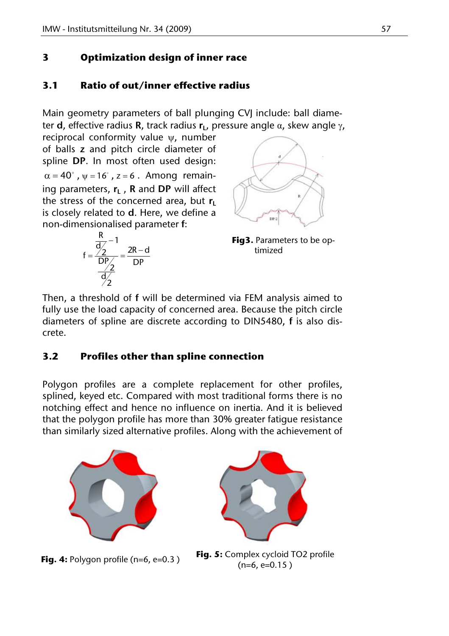# **3 Optimization design of inner race**

# **3.1 Ratio of out/inner effective radius**

Main geometry parameters of ball plunging CVJ include: ball diameter **d**, effective radius **R**, track radius **, pressure angle**  $α$ **, skew angle**  $γ$ **,** 

reciprocal conformity value  $\psi$ , number of balls **z** and pitch circle diameter of spline **DP**. In most often used design:  $\alpha = 40^\circ$ ,  $\psi = 16^\circ$ ,  $z = 6$ . Among remaining parameters,  $r_L$ , R and DP will affect the stress of the concerned area, but  $r_1$ is closely related to **d**. Here, we define a non-dimensionalised parameter **f**:





**Fig3.** Parameters to be optimized

Then, a threshold of **f** will be determined via FEM analysis aimed to fully use the load capacity of concerned area. Because the pitch circle diameters of spline are discrete according to DIN5480, **f** is also discrete.

## **3.2 Profiles other than spline connection**

Polygon profiles are a complete replacement for other profiles, splined, keyed etc. Compared with most traditional forms there is no notching effect and hence no influence on inertia. And it is believed that the polygon profile has more than 30% greater fatigue resistance than similarly sized alternative profiles. Along with the achievement of





**Fig. 4:** Polygon profile (n=6, e=0.3) **Fig. 5:** Complex cycloid TO2 profile  $(n=6, e=0.15)$